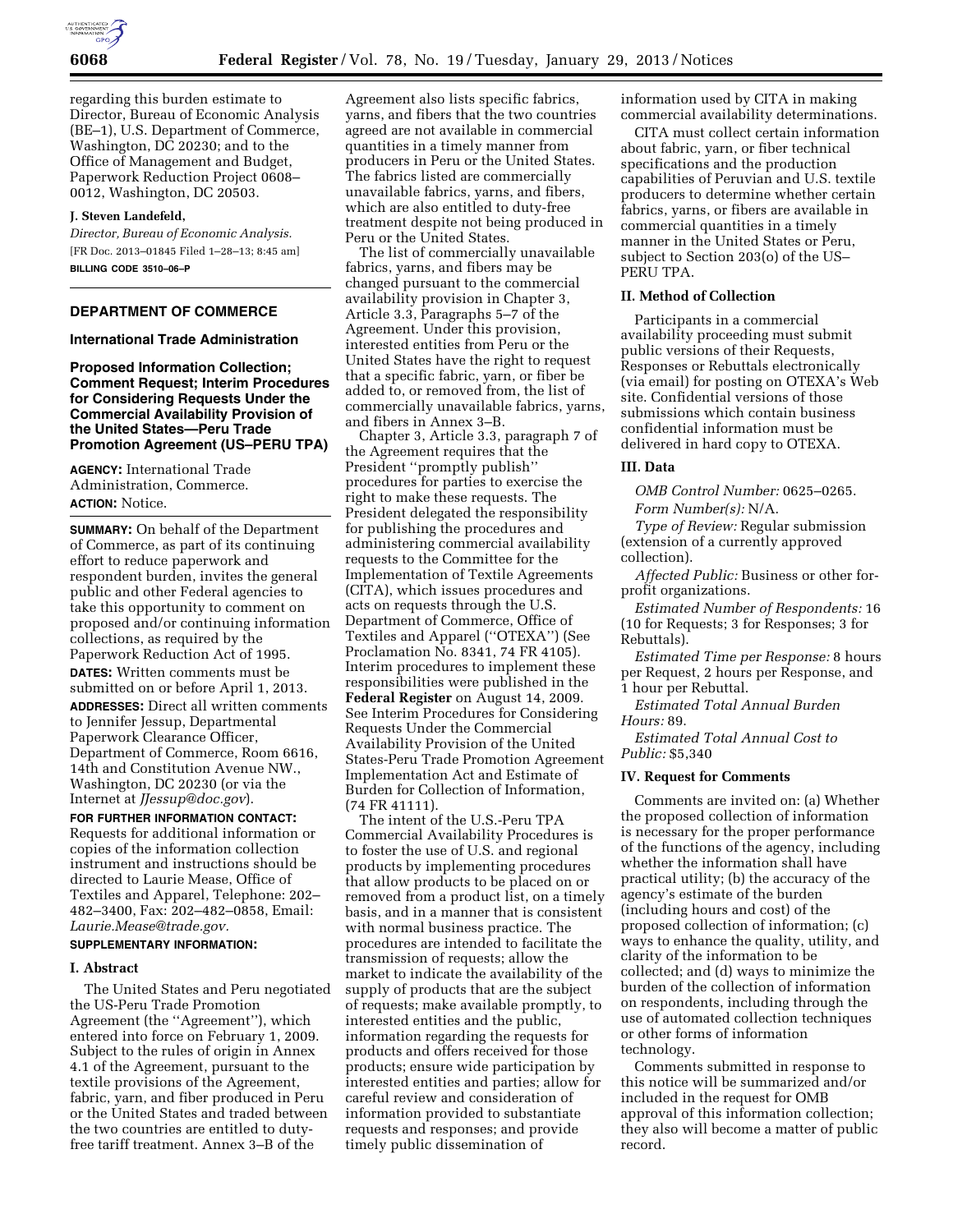

regarding this burden estimate to Director, Bureau of Economic Analysis (BE–1), U.S. Department of Commerce, Washington, DC 20230; and to the Office of Management and Budget, Paperwork Reduction Project 0608– 0012, Washington, DC 20503.

### **J. Steven Landefeld,**

*Director, Bureau of Economic Analysis.*  [FR Doc. 2013–01845 Filed 1–28–13; 8:45 am] **BILLING CODE 3510–06–P** 

# **DEPARTMENT OF COMMERCE**

#### **International Trade Administration**

**Proposed Information Collection; Comment Request; Interim Procedures for Considering Requests Under the Commercial Availability Provision of the United States—Peru Trade Promotion Agreement (US–PERU TPA)** 

**AGENCY:** International Trade Administration, Commerce. **ACTION:** Notice.

**SUMMARY:** On behalf of the Department of Commerce, as part of its continuing effort to reduce paperwork and respondent burden, invites the general public and other Federal agencies to take this opportunity to comment on proposed and/or continuing information collections, as required by the Paperwork Reduction Act of 1995. **DATES:** Written comments must be submitted on or before April 1, 2013. **ADDRESSES:** Direct all written comments to Jennifer Jessup, Departmental Paperwork Clearance Officer, Department of Commerce, Room 6616, 14th and Constitution Avenue NW., Washington, DC 20230 (or via the Internet at *[JJessup@doc.gov](mailto:JJessup@doc.gov)*).

**FOR FURTHER INFORMATION CONTACT:**  Requests for additional information or copies of the information collection instrument and instructions should be directed to Laurie Mease, Office of Textiles and Apparel, Telephone: 202– 482–3400, Fax: 202–482–0858, Email: *[Laurie.Mease@trade.gov.](mailto:Laurie.Mease@trade.gov)* 

### **SUPPLEMENTARY INFORMATION:**

### **I. Abstract**

The United States and Peru negotiated the US-Peru Trade Promotion Agreement (the ''Agreement''), which entered into force on February 1, 2009. Subject to the rules of origin in Annex 4.1 of the Agreement, pursuant to the textile provisions of the Agreement, fabric, yarn, and fiber produced in Peru or the United States and traded between the two countries are entitled to dutyfree tariff treatment. Annex 3–B of the

Agreement also lists specific fabrics, yarns, and fibers that the two countries agreed are not available in commercial quantities in a timely manner from producers in Peru or the United States. The fabrics listed are commercially unavailable fabrics, yarns, and fibers, which are also entitled to duty-free treatment despite not being produced in Peru or the United States.

The list of commercially unavailable fabrics, yarns, and fibers may be changed pursuant to the commercial availability provision in Chapter 3, Article 3.3, Paragraphs 5–7 of the Agreement. Under this provision, interested entities from Peru or the United States have the right to request that a specific fabric, yarn, or fiber be added to, or removed from, the list of commercially unavailable fabrics, yarns, and fibers in Annex 3–B.

Chapter 3, Article 3.3, paragraph 7 of the Agreement requires that the President ''promptly publish'' procedures for parties to exercise the right to make these requests. The President delegated the responsibility for publishing the procedures and administering commercial availability requests to the Committee for the Implementation of Textile Agreements (CITA), which issues procedures and acts on requests through the U.S. Department of Commerce, Office of Textiles and Apparel (''OTEXA'') (See Proclamation No. 8341, 74 FR 4105). Interim procedures to implement these responsibilities were published in the **Federal Register** on August 14, 2009. See Interim Procedures for Considering Requests Under the Commercial Availability Provision of the United States-Peru Trade Promotion Agreement Implementation Act and Estimate of Burden for Collection of Information, (74 FR 41111).

The intent of the U.S.-Peru TPA Commercial Availability Procedures is to foster the use of U.S. and regional products by implementing procedures that allow products to be placed on or removed from a product list, on a timely basis, and in a manner that is consistent with normal business practice. The procedures are intended to facilitate the transmission of requests; allow the market to indicate the availability of the supply of products that are the subject of requests; make available promptly, to interested entities and the public, information regarding the requests for products and offers received for those products; ensure wide participation by interested entities and parties; allow for careful review and consideration of information provided to substantiate requests and responses; and provide timely public dissemination of

information used by CITA in making commercial availability determinations.

CITA must collect certain information about fabric, yarn, or fiber technical specifications and the production capabilities of Peruvian and U.S. textile producers to determine whether certain fabrics, yarns, or fibers are available in commercial quantities in a timely manner in the United States or Peru, subject to Section 203(o) of the US– PERU TPA.

### **II. Method of Collection**

Participants in a commercial availability proceeding must submit public versions of their Requests, Responses or Rebuttals electronically (via email) for posting on OTEXA's Web site. Confidential versions of those submissions which contain business confidential information must be delivered in hard copy to OTEXA.

### **III. Data**

*OMB Control Number:* 0625–0265. *Form Number(s):* N/A.

*Type of Review:* Regular submission (extension of a currently approved collection).

*Affected Public:* Business or other forprofit organizations.

*Estimated Number of Respondents:* 16 (10 for Requests; 3 for Responses; 3 for Rebuttals).

*Estimated Time per Response:* 8 hours per Request, 2 hours per Response, and 1 hour per Rebuttal.

*Estimated Total Annual Burden Hours:* 89.

*Estimated Total Annual Cost to Public:* \$5,340

## **IV. Request for Comments**

Comments are invited on: (a) Whether the proposed collection of information is necessary for the proper performance of the functions of the agency, including whether the information shall have practical utility; (b) the accuracy of the agency's estimate of the burden (including hours and cost) of the proposed collection of information; (c) ways to enhance the quality, utility, and clarity of the information to be collected; and (d) ways to minimize the burden of the collection of information on respondents, including through the use of automated collection techniques or other forms of information technology.

Comments submitted in response to this notice will be summarized and/or included in the request for OMB approval of this information collection; they also will become a matter of public record.